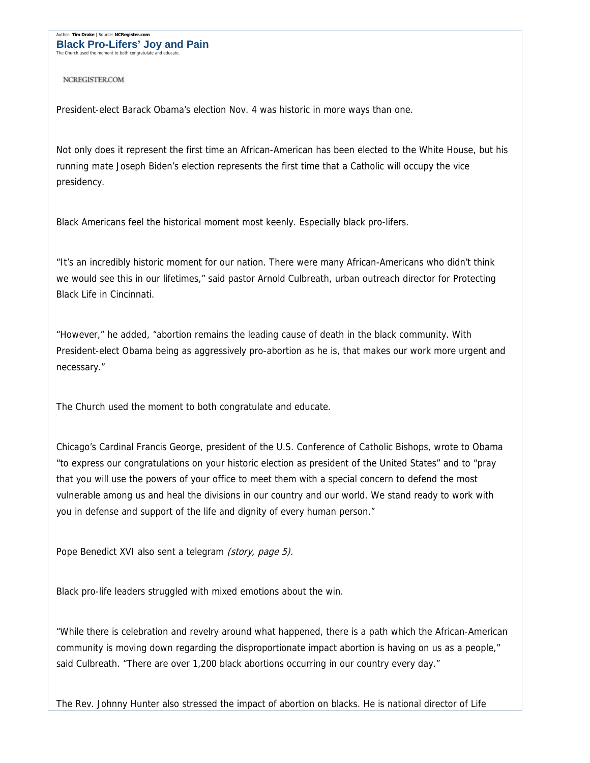Author: **Tim Drake** | Source: **NCRegister.com Black Pro-Lifers' Joy and Pain** The Church used the moment to both congratulate

**NCREGISTERCOM** 

President-elect Barack Obama's election Nov. 4 was historic in more ways than one.

Not only does it represent the first time an African-American has been elected to the White House, but his running mate Joseph Biden's election represents the first time that a Catholic will occupy the vice presidency.

Black Americans feel the historical moment most keenly. Especially black pro-lifers.

"It's an incredibly historic moment for our nation. There were many African-Americans who didn't think we would see this in our lifetimes," said pastor Arnold Culbreath, urban outreach director for Protecting Black Life in Cincinnati.

"However," he added, "abortion remains the leading cause of death in the black community. With President-elect Obama being as aggressively pro-abortion as he is, that makes our work more urgent and necessary."

The Church used the moment to both congratulate and educate.

Chicago's Cardinal Francis George, president of the U.S. Conference of Catholic Bishops, wrote to Obama "to express our congratulations on your historic election as president of the United States" and to "pray that you will use the powers of your office to meet them with a special concern to defend the most vulnerable among us and heal the divisions in our country and our world. We stand ready to work with you in defense and support of the life and dignity of every human person."

Pope Benedict XVI also sent a telegram (story, page 5).

Black pro-life leaders struggled with mixed emotions about the win.

"While there is celebration and revelry around what happened, there is a path which the African-American community is moving down regarding the disproportionate impact abortion is having on us as a people," said Culbreath. "There are over 1,200 black abortions occurring in our country every day."

The Rev. Johnny Hunter also stressed the impact of abortion on blacks. He is national director of Life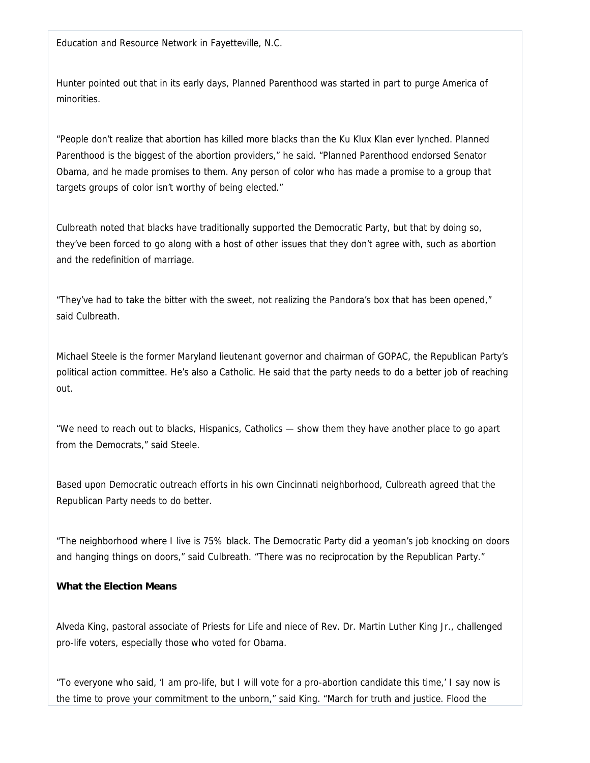Education and Resource Network in Fayetteville, N.C.

Hunter pointed out that in its early days, Planned Parenthood was started in part to purge America of minorities.

"People don't realize that abortion has killed more blacks than the Ku Klux Klan ever lynched. Planned Parenthood is the biggest of the abortion providers," he said. "Planned Parenthood endorsed Senator Obama, and he made promises to them. Any person of color who has made a promise to a group that targets groups of color isn't worthy of being elected."

Culbreath noted that blacks have traditionally supported the Democratic Party, but that by doing so, they've been forced to go along with a host of other issues that they don't agree with, such as abortion and the redefinition of marriage.

"They've had to take the bitter with the sweet, not realizing the Pandora's box that has been opened," said Culbreath.

Michael Steele is the former Maryland lieutenant governor and chairman of GOPAC, the Republican Party's political action committee. He's also a Catholic. He said that the party needs to do a better job of reaching out.

"We need to reach out to blacks, Hispanics, Catholics — show them they have another place to go apart from the Democrats," said Steele.

Based upon Democratic outreach efforts in his own Cincinnati neighborhood, Culbreath agreed that the Republican Party needs to do better.

"The neighborhood where I live is 75% black. The Democratic Party did a yeoman's job knocking on doors and hanging things on doors," said Culbreath. "There was no reciprocation by the Republican Party."

## **What the Election Means**

Alveda King, pastoral associate of Priests for Life and niece of Rev. Dr. Martin Luther King Jr., challenged pro-life voters, especially those who voted for Obama.

"To everyone who said, 'I am pro-life, but I will vote for a pro-abortion candidate this time,' I say now is the time to prove your commitment to the unborn," said King. "March for truth and justice. Flood the